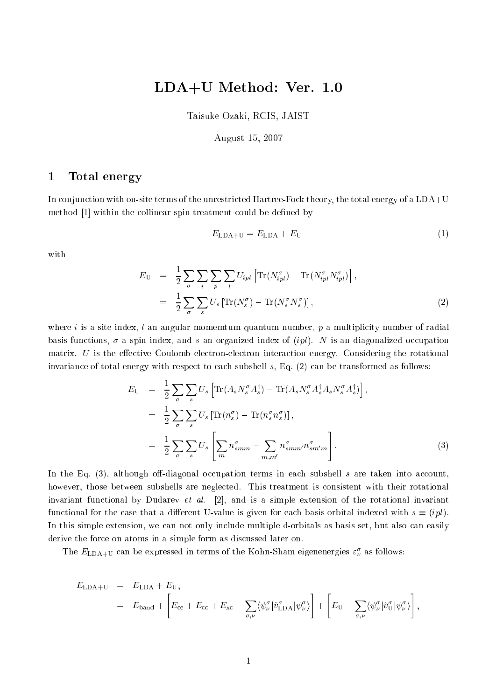# LDA+U Method: Ver. 1.0

Taisuke Ozaki, RCIS, JAIST

#### August 15, 2007

### 1 Total energy

In conjunction with on-site terms of the unrestricted Hartree-Fock theory, the total energy of a LDA+U method [1] within the collinear spin treatment could be defined by

$$
E_{\text{LDA+U}} = E_{\text{LDA}} + E_{\text{U}} \tag{1}
$$

with

$$
E_{\mathbf{U}} = \frac{1}{2} \sum_{\sigma} \sum_{i} \sum_{p} \sum_{l} U_{ipl} \left[ \text{Tr}(N_{ipl}^{\sigma}) - \text{Tr}(N_{ipl}^{\sigma} N_{ipl}^{\sigma}) \right],
$$
  

$$
= \frac{1}{2} \sum_{\sigma} \sum_{s} U_{s} \left[ \text{Tr}(N_{s}^{\sigma}) - \text{Tr}(N_{s}^{\sigma} N_{s}^{\sigma}) \right],
$$
 (2)

where i is a site index, l an angular momemtum quantum number,  $p$  a multiplicity number of radial basis functions,  $\sigma$  a spin index, and s an organized index of  $(ipl)$ . N is an diagonalized occupation matrix.  $U$  is the effective Coulomb electron-electron interaction energy. Considering the rotational invariance of total energy with respect to each subshell  $s$ , Eq.  $(2)$  can be transformed as follows:

$$
E_{\rm U} = \frac{1}{2} \sum_{\sigma} \sum_{s} U_s \left[ \text{Tr}(A_s N_s^{\sigma} A_s^{\dagger}) - \text{Tr}(A_s N_s^{\sigma} A_s^{\dagger} A_s N_s^{\sigma} A_s^{\dagger}) \right],
$$
  
\n
$$
= \frac{1}{2} \sum_{\sigma} \sum_{s} U_s \left[ \text{Tr}(n_s^{\sigma}) - \text{Tr}(n_s^{\sigma} n_s^{\sigma}) \right],
$$
  
\n
$$
= \frac{1}{2} \sum_{\sigma} \sum_{s} U_s \left[ \sum_{m} n_{smm}^{\sigma} - \sum_{m,m'} n_{smm'}^{\sigma} n_{smm'}^{\sigma} \right].
$$
\n(3)

In the Eq. (3), although off-diagonal occupation terms in each subshell s are taken into account, however, those between subshells are neglected. This treatment is consistent with their rotational invariant functional by Dudarev et al.  $[2]$ , and is a simple extension of the rotational invariant functional for the case that a different U-value is given for each basis orbital indexed with  $s \equiv (ipl)$ . In this simple extension, we can not only include multiple d-orbitals as basis set, but also can easily derive the for
e on atoms in a simple form as dis
ussed later on.

The  $E_{\rm LDA+U}$  can be expressed in terms of the Kohn-Sham eigenenergies  $\varepsilon_\nu^\sigma$  as follows:

$$
E_{\text{LDA+U}} = E_{\text{LDA}} + E_{\text{U}},
$$
  
=  $E_{\text{band}} + \left[ E_{\text{ee}} + E_{\text{cc}} + E_{\text{xc}} - \sum_{\sigma,\nu} \langle \psi_{\nu}^{\sigma} | \hat{v}_{\text{LDA}}^{\sigma} | \psi_{\nu}^{\sigma} \rangle \right] + \left[ E_{\text{U}} - \sum_{\sigma,\nu} \langle \psi_{\nu}^{\sigma} | \hat{v}_{\text{U}}^{\sigma} | \psi_{\nu}^{\sigma} \rangle \right],$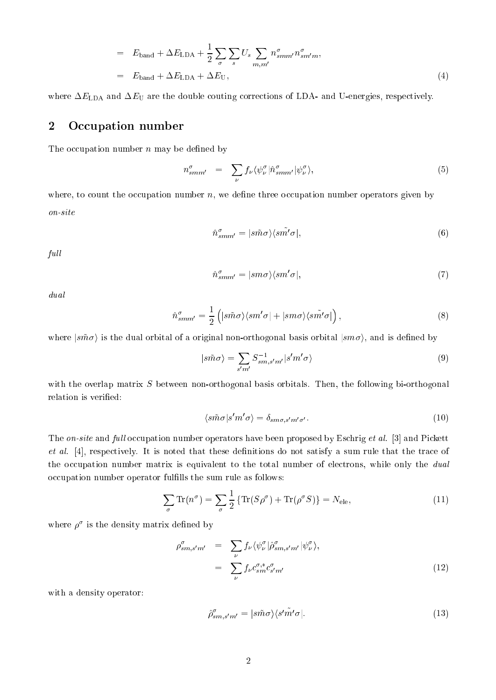$$
= E_{\text{band}} + \Delta E_{\text{LDA}} + \frac{1}{2} \sum_{\sigma} \sum_{s} U_s \sum_{m,m'} n_{smm'}^{\sigma} n_{sm'm}^{\sigma},
$$
  

$$
= E_{\text{band}} + \Delta E_{\text{LDA}} + \Delta E_{\text{U}},
$$
 (4)

where  $\Delta E_{\text{LDA}}$  and  $\Delta E_{\text{U}}$  are the double couting corrections of LDA- and U-energies, respectively.

### 2 Occupation number

The occupation number  $n$  may be defined by

$$
n^{\sigma}_{smm'} = \sum_{\nu} f_{\nu} \langle \psi^{\sigma}_{\nu} | \hat{n}^{\sigma}_{smm'} | \psi^{\sigma}_{\nu} \rangle, \tag{5}
$$

where, to count the occupation number  $n$ , we define three occupation number operators given by on-site

$$
\hat{n}_{smm'}^{\sigma} = |s\tilde{m}\sigma\rangle\langle s\tilde{m'}\sigma|,\tag{6}
$$

full

$$
\hat{n}^{\sigma}_{smm'} = |sm\sigma\rangle\langle sm'\sigma|,\tag{7}
$$

dual

$$
\hat{n}^{\sigma}_{smm'} = \frac{1}{2} \left( |s\tilde{m}\sigma\rangle\langle sm'\sigma| + |sm\sigma\rangle\langle s\tilde{m'}\sigma| \right),\tag{8}
$$

where  $\ket{s\tilde{m}\sigma}$  is the dual orbital of a original non-orthogonal basis orbital  $\ket{sm\sigma}$ , and is defined by

$$
|s\tilde{m}\sigma\rangle = \sum_{s'm'} S_{sm,s'm'}^{-1} |s'm'\sigma\rangle \tag{9}
$$

with the overlap matrix S between non-orthogonal basis orbitals. Then, the following bi-orthogonal relation is verified:

$$
\langle s\tilde{m}\sigma|s'm'\sigma\rangle = \delta_{sm\sigma,s'm'\sigma'}.\tag{10}
$$

The on-site and full occupation number operators have been proposed by Eschrig et al. [3] and Pickett  $et\ al.$  [4], respectively. It is noted that these definitions do not satisfy a sum rule that the trace of the occupation number matrix is equivalent to the total number of electrons, while only the dual occupation number operator fulfills the sum rule as follows:

$$
\sum_{\sigma} \text{Tr}(n^{\sigma}) = \sum_{\sigma} \frac{1}{2} \{ \text{Tr}(S\rho^{\sigma}) + \text{Tr}(\rho^{\sigma} S) \} = N_{\text{ele}}, \tag{11}
$$

where  $\rho^{\scriptscriptstyle\textrm{v}}$  is the density matrix defined by

$$
\rho_{sm,s'm'}^{\sigma} = \sum_{\nu} f_{\nu} \langle \psi_{\nu}^{\sigma} | \hat{\rho}_{sm,s'm'}^{\sigma} | \psi_{\nu}^{\sigma} \rangle,
$$
  

$$
= \sum_{\nu} f_{\nu} c_{sm}^{\sigma,*} c_{s'm'}^{\sigma}
$$
(12)

with a density operator:

$$
\hat{\rho}_{sm,s'm'}^{\sigma} = |s\tilde{m}\sigma\rangle\langle s'\tilde{m'}\sigma|.\tag{13}
$$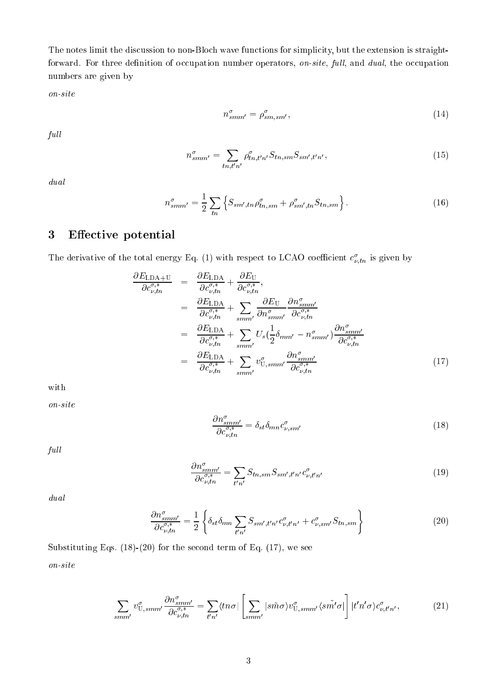The notes limit the discussion to non-Bloch wave functions for simplicity, but the extension is straightforward. For three definition of occupation number operators, on-site, full, and dual, the occupation numbers are given by

on-site

$$
n_{smm'}^{\sigma} = \rho_{s m, s m'}^{\sigma},\tag{14}
$$

 $full$ 

$$
n_{smm'}^{\sigma} = \sum_{tn, t'n'} \rho_{tn, t'n'}^{\sigma} S_{tn, sm} S_{sm', t'n'}, \qquad (15)
$$

dual

$$
n_{smm'}^{\sigma} = \frac{1}{2} \sum_{tn} \left\{ S_{sm',tn} \rho_{tn,sm}^{\sigma} + \rho_{sm',tn}^{\sigma} S_{tn,sm} \right\}.
$$
 (16)

# 3 Effective potential

The derivative of the total energy Eq. (1) with respect to LCAO coefficient  $c_{\nu,tn}^*$  is given by

$$
\frac{\partial E_{\text{LDA+U}}}{\partial c_{\nu,tn}^{\sigma,*}} = \frac{\partial E_{\text{LDA}}}{\partial c_{\nu,tn}^{\sigma,*}} + \frac{\partial E_{\text{U}}}{\partial c_{\nu,tn}^{\sigma,*}},
$$
\n
$$
= \frac{\partial E_{\text{LDA}}}{\partial c_{\nu,tn}^{\sigma,*}} + \sum_{smm'} \frac{\partial E_{\text{U}}}{\partial n_{smm'}^{\sigma}} \frac{\partial n_{smm'}^{\sigma}}{\partial c_{\nu,tn}^{\sigma,*}}\n\n= \frac{\partial E_{\text{LDA}}}{\partial c_{\nu,tn}^{\sigma,*}} + \sum_{smm'} U_{s} (\frac{1}{2} \delta_{mm'} - n_{smm'}^{\sigma}) \frac{\partial n_{smm'}^{\sigma}}{\partial c_{\nu,tn}^{\sigma,*}}\n\n= \frac{\partial E_{\text{LDA}}}{\partial c_{\nu,tn}^{\sigma,*}} + \sum_{smm'} v_{\text{U},smm'}^{\sigma} \frac{\partial n_{smm'}^{\sigma}}{\partial c_{\nu,tn}^{\sigma,*}}\n \tag{17}
$$

with

on-site

$$
\frac{\partial n_{s\,mm'}^{\sigma}}{\partial c_{\nu,tn}^{\sigma,*}} = \delta_{st} \delta_{mn} c_{\nu,sm'}^{\sigma} \tag{18}
$$

 $full$ 

$$
\frac{\partial n_{smm'}^{\sigma}}{\partial c_{\nu,tn}^{\sigma,*}} = \sum_{t'n'} S_{tn,sm} S_{sm',t'n'} c_{\nu,t'n'}^{\sigma} \tag{19}
$$

dual

$$
\frac{\partial n_{smm'}^{\sigma}}{\partial c_{\nu,tn}^{\sigma,*}} = \frac{1}{2} \left\{ \delta_{st} \delta_{mn} \sum_{t'n'} S_{sm',t'n'} c_{\nu,t'n'}^{\sigma} + c_{\nu,sm'}^{\sigma} S_{tn,sm} \right\}
$$
(20)

Substituting Eqs.  $(18)-(20)$  for the second term of Eq.  $(17)$ , we see on-site

$$
\sum_{smm'} v_{\text{U,smm'}}^{\sigma} \frac{\partial n_{smm'}^{\sigma}}{\partial c_{\nu,tn}^{\sigma,*}} = \sum_{t'n'} \langle tn\sigma | \left[ \sum_{smm'} | s\tilde{m}\sigma \rangle v_{\text{U,smm'}}^{\sigma} \langle s\tilde{m'}\sigma | \right] | t'n'\sigma \rangle c_{\nu,t'n'}^{\sigma},\tag{21}
$$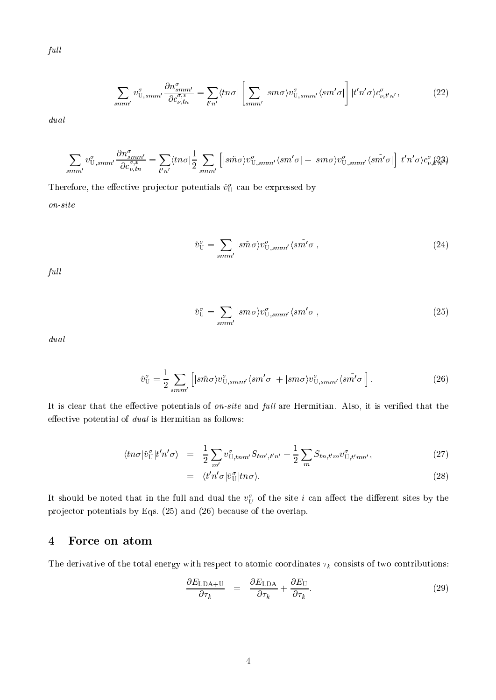$\it full$ 

$$
\sum_{smm'} v_{\mathrm{U,}smm'}^{\sigma} \frac{\partial n_{smm'}^{\sigma}}{\partial c_{\nu,tn}^{\sigma,*}} = \sum_{t'n'} \langle tn\sigma | \left[ \sum_{smm'} | sm\sigma \rangle v_{\mathrm{U,}smm'}^{\sigma} \langle sm'\sigma | \right] | t'n'\sigma \rangle c_{\nu,t'n'}^{\sigma}, \tag{22}
$$

dual

$$
\sum_{smm'} v^{\sigma}_{\mathrm{U},smm'} \frac{\partial n^{\sigma}_{smm'}}{\partial c^{\sigma,*}_{\nu,tn}} = \sum_{t'n'} \langle tn\sigma|\frac{1}{2}\sum_{smm'}\left[|s\tilde{m}\sigma\rangle v^{\sigma}_{\mathrm{U},smm'}\langle sm'\sigma| + |sm\sigma\rangle v^{\sigma}_{\mathrm{U},smm'}\langle s\tilde{m'}\sigma|\right] |t'n'\sigma\rangle c^{\sigma}_{\nu,i}\Omega_{t}^{3}\rangle
$$

Therefore, the effective projector potentials  $v_{\mathrm{U}}^{\mathrm{v}}$  can be expressed by on-site

$$
\hat{v}_{\mathbf{U}}^{\sigma} = \sum_{smm'} |s\tilde{m}\sigma\rangle v_{\mathbf{U},smm'}^{\sigma} \langle s\tilde{m'}\sigma|,
$$
\n(24)

full

$$
\hat{v}_{\rm U}^{\sigma} = \sum_{smm'} |sm\sigma\rangle v_{\rm U,smm'}^{\sigma} \langle sm'\sigma|,\tag{25}
$$

dual

$$
\hat{v}_{\mathbf{U}}^{\sigma} = \frac{1}{2} \sum_{smm'} \left[ |s\tilde{m}\sigma\rangle v_{\mathbf{U},smm'}^{\sigma} \langle sm'\sigma| + |sm\sigma\rangle v_{\mathbf{U},smm'}^{\sigma} \langle s\tilde{m'}\sigma| \right]. \tag{26}
$$

It is clear that the effective potentials of on-site and full are Hermitian. Also, it is verified that the effective potential of  $dual$  is Hermitian as follows:

$$
\langle \ln \sigma | \hat{v}_{\mathrm{U}}^{\sigma} | t' n' \sigma \rangle = \frac{1}{2} \sum_{m'} v_{\mathrm{U}, \mathrm{tnm'}}^{\sigma} S_{\mathrm{t}m', \mathrm{t'}n'} + \frac{1}{2} \sum_{m} S_{\mathrm{t}n, \mathrm{t'}m} v_{\mathrm{U}, \mathrm{t'}mn'}^{\sigma}, \tag{27}
$$

$$
= \langle t'n'\sigma|\hat{v}_{\mathrm{U}}^{\sigma}|tn\sigma\rangle. \tag{28}
$$

It should be noted that in the full and dual the  $v_U^{\sigma}$  of the site  $i$  can affect the different sites by the projector potentials by Eqs. (25) and (26) because of the overlap.

### 4 For
e on atom

The derivative of the total energy with respect to atomic coordinates  $\tau_k$  consists of two contributions:

$$
\frac{\partial E_{\text{LDA+U}}}{\partial \tau_k} = \frac{\partial E_{\text{LDA}}}{\partial \tau_k} + \frac{\partial E_{\text{U}}}{\partial \tau_k}.
$$
\n(29)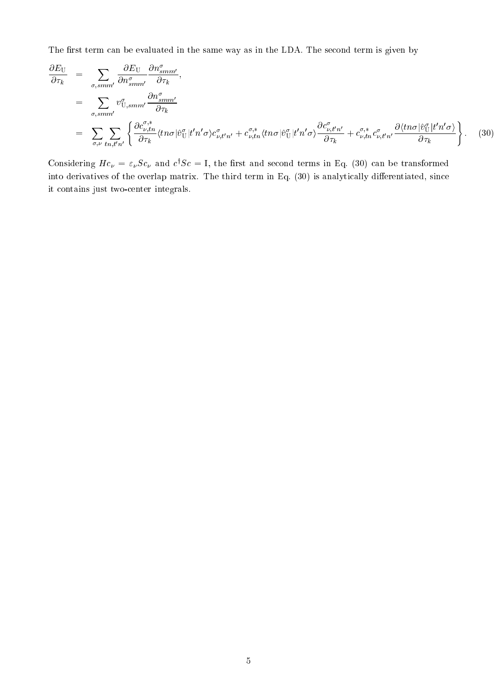The first term can be evaluated in the same way as in the LDA. The second term is given by

$$
\frac{\partial E_{\rm U}}{\partial \tau_k} = \sum_{\sigma, \text{sm}^{m'}} \frac{\partial E_{\rm U}}{\partial n_{\text{sm}^{m'}}^{\sigma}} \frac{\partial n_{\text{sm}^{m'}}^{\sigma}}{\partial \tau_k},
$$
\n
$$
= \sum_{\sigma, \text{sm}^{m'}} v_{\rm U, \text{sm}^{m'}}^{\sigma} \frac{\partial n_{\text{sm}^{m'}}^{\sigma}}{\partial \tau_k}
$$
\n
$$
= \sum_{\sigma, \nu} \sum_{\text{tn}, \text{t}'^{n'}} \left\{ \frac{\partial c_{\nu, \text{tn}}^{\sigma,*}}{\partial \tau_k} \langle \text{tn} \sigma | \hat{v}_{\rm U}^{\sigma} | \text{t}' \eta' \sigma \rangle c_{\nu, \text{t}'^{n'}}^{\sigma} + c_{\nu, \text{tn}}^{\sigma,*} \langle \text{tn} \sigma | \hat{v}_{\rm U}^{\sigma} | \text{t}' \eta' \sigma \rangle \frac{\partial c_{\nu, \text{t}'}^{\sigma}}{\partial \tau_k} + c_{\nu, \text{tn}}^{\sigma,*} c_{\nu, \text{t}^{n'}}^{\sigma} \frac{\partial \langle \text{tn} \sigma | \hat{v}_{\rm U}^{\sigma} | \text{t}' \eta' \sigma \rangle}{\partial \tau_k} \right\}. \tag{30}
$$

Considering  $Hc_{\nu} = \varepsilon_{\nu}Sc_{\nu}$  and  $c^{\dagger}Sc = I$ , the first and second terms in Eq. (30) can be transformed into derivatives of the overlap matrix. The third term in Eq. (30) is analytically differentiated, since it ontains just twoenter integrals.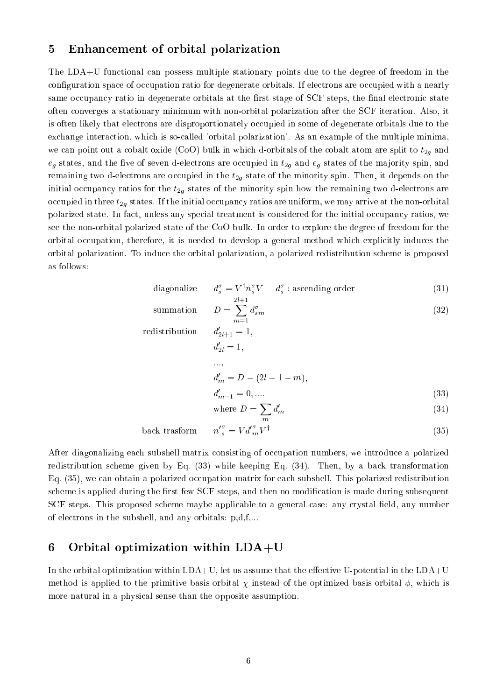### 5 Enhan
ement of orbital polarization

The LDA+U functional can possess multiple stationary points due to the degree of freedom in the configuration space of occupation ratio for degenerate orbitals. If electrons are occupied with a nearly same occupancy ratio in degenerate orbitals at the first stage of SCF steps, the final electronic state often onverges a stationary minimum with non-orbital polarization after the SCF iteration. Also, it is often likely that electrons are disproportionately occupied in some of degenerate orbitals due to the exchange interaction, which is so-called 'orbital polarization'. As an example of the multiple minima, we can point out a cobalt oxide (CoO) bulk in which d-orbitals of the cobalt atom are split to  $t_{2g}$  and  $e_q$  states, and the five of seven d-electrons are occupied in  $t_{2q}$  and  $e_q$  states of the majority spin, and remaining two d-electrons are occupied in the  $t_{2g}$  state of the minority spin. Then, it depends on the initial occupancy ratios for the  $t_{2g}$  states of the minority spin how the remaining two d-electrons are occupied in three  $t_{2g}$  states. If the initial occupancy ratios are uniform, we may arrive at the non-orbital polarized state. In fact, unless any special treatment is considered for the initial occupancy ratios, we see the non-orbital polarized state of the CoO bulk. In order to explore the degree of freedom for the orbital occupation, therefore, it is needed to develop a general method which explicitly induces the orbital polarization. To indu
e the orbital polarization, a polarized redistribution s
heme is proposed as follows:

diagonalize 
$$
d_s^{\sigma} = V^{\dagger} n_s^{\sigma} V \quad d_s^{\sigma}
$$
: ascending order (31)

summation 
$$
D = \sum_{m=1}^{2l+1} d_{sm}^{\sigma}
$$
 (32)

redistribution  $_{2l+1} = 1,$  $d'_{2l} = 1,$ :::;  $d'_m = D - (2l + 1 - m),$  $d'_{m-1} = 0, \dots$  (33) where  $D=\sum d_m'$  $(3-7)$ 

$$
back\ transform \qquad n^{\prime \sigma}_{s} = V d^{\prime \sigma}_{m} V^{\dagger} \tag{35}
$$

After diagonalizing each subshell matrix consisting of occupation numbers, we introduce a polarized redistribution scheme given by Eq. (33) while keeping Eq. (34). Then, by a back transformation Eq. (35), we can obtain a polarized occupation matrix for each subshell. This polarized redistribution scheme is applied during the first few SCF steps, and then no modification is made during subsequent SCF steps. This proposed scheme maybe applicable to a general case: any crystal field, any number of ele
trons in the subshell, and any orbitals: p,d,f,...

### 6 Orbital optimization within LDA+U

In the orbital optimization within  $LDA+U$ , let us assume that the effective U-potential in the  $LDA+U$ method is applied to the primitive basis orbital  $\chi$  instead of the optimized basis orbital  $\phi$ , which is more natural in a physical sense than the opposite assumption.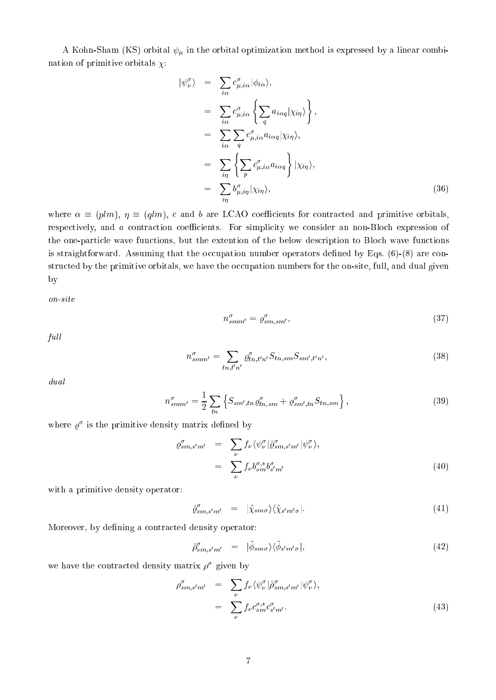A Kohn-Sham (KS) orbital  $\psi_{\mu}$  in the orbital optimization method is expressed by a linear combination of primitive orbitals  $\chi$ :

$$
\begin{split}\n|\psi_{\nu}^{\sigma}\rangle &= \sum_{i\alpha} c_{\mu,i\alpha}^{\sigma} |\phi_{i\alpha}\rangle, \\
&= \sum_{i\alpha} c_{\mu,i\alpha}^{\sigma} \left\{ \sum_{q} a_{i\alpha q} |\chi_{i\eta} \rangle \right\}, \\
&= \sum_{i\alpha} \sum_{q} c_{\mu,i\alpha}^{\sigma} a_{i\alpha q} |\chi_{i\eta} \rangle, \\
&= \sum_{i\eta} \left\{ \sum_{p} c_{\mu,i\alpha}^{\sigma} a_{i\alpha q} \right\} |\chi_{i\eta} \rangle, \\
&= \sum_{i\eta} b_{\mu,i\eta}^{\sigma} |\chi_{i\eta} \rangle,\n\end{split} \tag{36}
$$

where  $\alpha \equiv (plm)$ ,  $\eta \equiv (qlm)$ , c and b are LCAO coefficients for contracted and primitive orbitals, respectively, and a contraction coefficients. For simplicity we consider an non-Bloch expression of the one-particle wave functions, but the extention of the below description to Bloch wave functions is straightforward. Assuming that the occupation number operators defined by Eqs.  $(6)-(8)$  are constructed by the primitive orbitals, we have the occupation numbers for the on-site, full, and dual given by

on-site

$$
n_{smm'}^{\sigma} = \varrho_{s m, s m'}^{\sigma},\tag{37}
$$

full

$$
n_{smm'}^{\sigma} = \sum_{tn, t'n'} \varrho_{tn, t'n'}^{\sigma} S_{tn, sm} S_{sm', t'n'}, \qquad (38)
$$

dual

$$
n_{smm'}^{\sigma} = \frac{1}{2} \sum_{tn} \left\{ S_{sm',tn} \varrho_{tn,sm}^{\sigma} + \varrho_{sm',tn}^{\sigma} S_{tn,sm} \right\},\tag{39}
$$

where  $\varrho^*$  is the primitive density matrix defined by

$$
\varrho_{sm,s'm'}^{\sigma} = \sum_{\nu} f_{\nu} \langle \psi_{\nu}^{\sigma} | \hat{\varrho}_{sm,s'm'}^{\sigma} | \psi_{\nu}^{\sigma} \rangle,
$$
  

$$
= \sum_{\nu} f_{\nu} b_{sm}^{\sigma,*} b_{s'm'}^{\sigma} \tag{40}
$$

with a primitive density operator:

$$
\hat{\varrho}_{sm,s'm'}^{\sigma} = |\tilde{\chi}_{sm\sigma}\rangle\langle\tilde{\chi}_{s'm'\sigma}|.
$$
\n(41)

Moreover, by defining a contracted density operator:

$$
\hat{\rho}_{sm,s'm'}^{\sigma} = |\hat{\phi}_{sm\sigma}\rangle\langle\hat{\phi}_{s'm'\sigma}|,\tag{42}
$$

we have the contracted density matrix  $\rho^{\downarrow}$  given by

$$
\rho_{sm,s'm'}^{\sigma} = \sum_{\nu} f_{\nu} \langle \psi_{\nu}^{\sigma} | \hat{\rho}_{sm,s'm'}^{\sigma} | \psi_{\nu}^{\sigma} \rangle, \n= \sum_{\nu} f_{\nu} c_{sm}^{\sigma,*} c_{s'm'}^{\sigma}.
$$
\n(43)